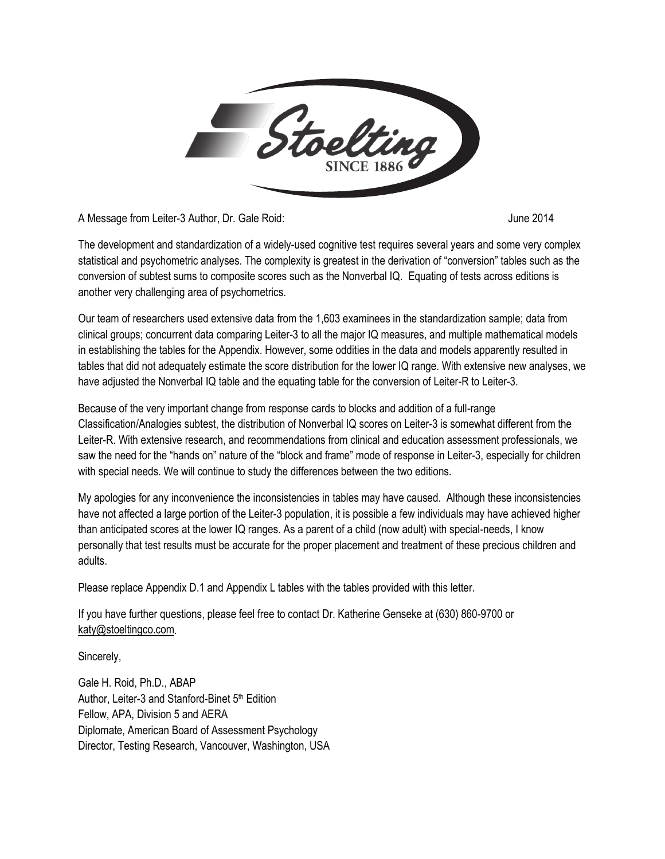

A Message from Leiter-3 Author, Dr. Gale Roid: June 2014

The development and standardization of a widely-used cognitive test requires several years and some very complex statistical and psychometric analyses. The complexity is greatest in the derivation of "conversion" tables such as the conversion of subtest sums to composite scores such as the Nonverbal IQ. Equating of tests across editions is another very challenging area of psychometrics.

Our team of researchers used extensive data from the 1,603 examinees in the standardization sample; data from clinical groups; concurrent data comparing Leiter-3 to all the major IQ measures, and multiple mathematical models in establishing the tables for the Appendix. However, some oddities in the data and models apparently resulted in tables that did not adequately estimate the score distribution for the lower IQ range. With extensive new analyses, we have adjusted the Nonverbal IQ table and the equating table for the conversion of Leiter-R to Leiter-3.

Because of the very important change from response cards to blocks and addition of a full-range Classification/Analogies subtest, the distribution of Nonverbal IQ scores on Leiter-3 is somewhat different from the Leiter-R. With extensive research, and recommendations from clinical and education assessment professionals, we saw the need for the "hands on" nature of the "block and frame" mode of response in Leiter-3, especially for children with special needs. We will continue to study the differences between the two editions.

My apologies for any inconvenience the inconsistencies in tables may have caused. Although these inconsistencies have not affected a large portion of the Leiter-3 population, it is possible a few individuals may have achieved higher than anticipated scores at the lower IQ ranges. As a parent of a child (now adult) with special-needs, I know personally that test results must be accurate for the proper placement and treatment of these precious children and adults.

Please replace Appendix D.1 and Appendix L tables with the tables provided with this letter.

If you have further questions, please feel free to contact Dr. Katherine Genseke at (630) 860-9700 or [katy@stoeltingco.com.](mailto:katy@stoeltingco.com) 

Sincerely,

Gale H. Roid, Ph.D., ABAP Author, Leiter-3 and Stanford-Binet 5<sup>th</sup> Edition Fellow, APA, Division 5 and AERA Diplomate, American Board of Assessment Psychology Director, Testing Research, Vancouver, Washington, USA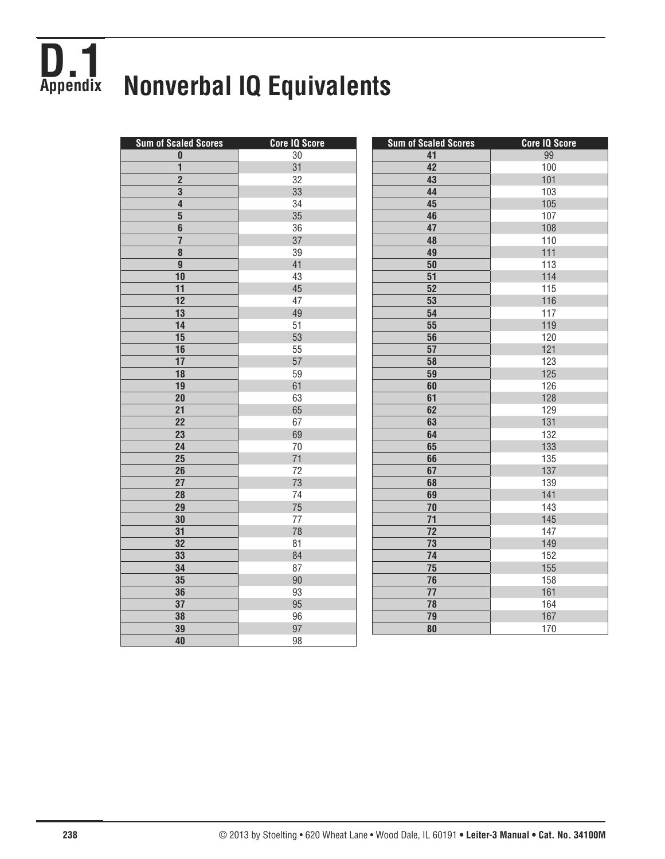## **D.1 Appendix Nonverbal IQ Equivalents**

| <b>Sum of Scaled Scores</b> | <b>Core IQ Score</b> | <b>Sum of Scaled Scores</b> | <b>Core IQ Score</b> |
|-----------------------------|----------------------|-----------------------------|----------------------|
| 0                           | $30\,$               | 41                          | 99                   |
| $\overline{\mathbf{1}}$     | 31                   | 42                          | 100                  |
| $\overline{2}$              | 32                   | 43                          | 101                  |
| $\overline{\mathbf{3}}$     | 33                   | 44                          | 103                  |
| $\overline{\mathbf{4}}$     | 34                   | 45                          | 105                  |
| $\overline{\mathbf{5}}$     | 35                   | 46                          | 107                  |
| 6                           | 36                   | 47                          | 108                  |
| $\overline{\mathbf{r}}$     | 37                   | 48                          | 110                  |
| 8                           | 39                   | 49                          | 111                  |
| $\overline{9}$              | 41                   | 50                          | 113                  |
| 10                          | 43                   | $\overline{51}$             | 114                  |
| 11                          | 45                   | 52                          | 115                  |
| 12                          | 47                   | 53                          | 116                  |
| 13                          | 49                   | 54                          | 117                  |
| 14                          | 51                   | 55                          | 119                  |
| 15                          | 53                   | $\overline{56}$             | 120                  |
| 16                          | 55                   | 57                          | 121                  |
| 17                          | 57                   | 58                          | 123                  |
| 18                          | 59                   | 59                          | 125                  |
| 19                          | 61                   | 60                          | 126                  |
| 20                          | 63                   | 61                          | 128                  |
| $\overline{21}$             | 65                   | 62                          | 129                  |
| $\overline{22}$             | 67                   | 63                          | 131                  |
| 23                          | 69                   | 64                          | 132                  |
| 24                          | $70\,$               | 65                          | 133                  |
| 25                          | 71                   | 66                          | 135                  |
| 26                          | 72                   | 67                          | 137                  |
| $\overline{27}$             | 73                   | 68                          | 139                  |
| 28                          | 74                   | 69                          | 141                  |
| 29                          | 75                   | 70                          | 143                  |
| 30                          | 77                   | $\overline{71}$             | 145                  |
| 31                          | 78                   | $\overline{72}$             | 147                  |
| 32                          | 81                   | $\overline{73}$             | 149                  |
| 33                          | 84                   | 74                          | 152                  |
| 34                          | 87                   | 75                          | 155                  |
| 35                          | $90\,$               | $\overline{76}$             | 158                  |
| 36                          | 93                   | 77                          | 161                  |
| 37                          | 95                   | 78                          | 164                  |
| 38                          | 96                   | 79                          | 167                  |
| 39                          | 97                   | $\overline{\bf 80}$         | 170                  |
| 40                          | 98                   |                             |                      |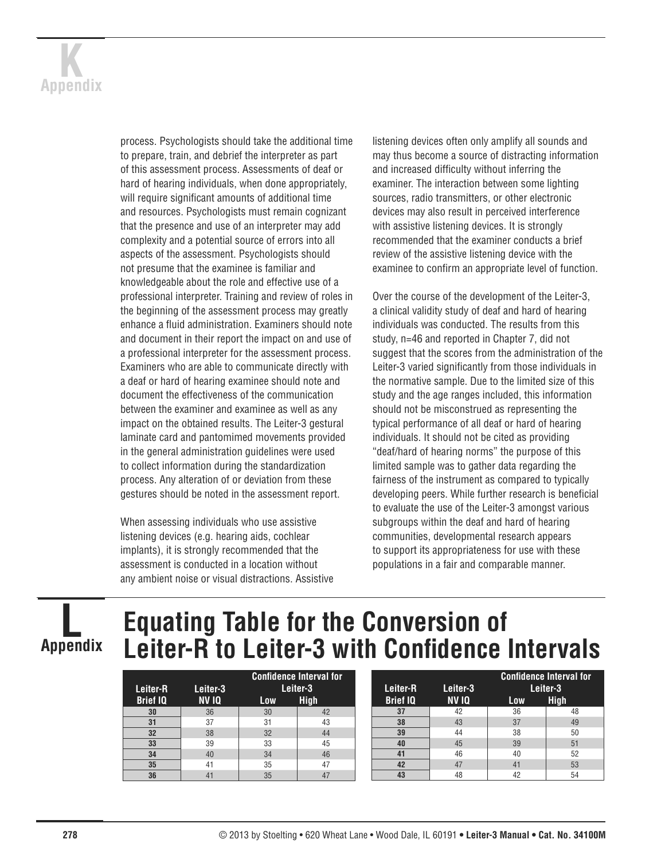

process. Psychologists should take the additional time to prepare, train, and debrief the interpreter as part of this assessment process. Assessments of deaf or hard of hearing individuals, when done appropriately, will require significant amounts of additional time and resources. Psychologists must remain cognizant that the presence and use of an interpreter may add complexity and a potential source of errors into all aspects of the assessment. Psychologists should not presume that the examinee is familiar and knowledgeable about the role and effective use of a professional interpreter. Training and review of roles in the beginning of the assessment process may greatly enhance a fluid administration. Examiners should note and document in their report the impact on and use of a professional interpreter for the assessment process. Examiners who are able to communicate directly with a deaf or hard of hearing examinee should note and document the effectiveness of the communication between the examiner and examinee as well as any impact on the obtained results. The Leiter-3 gestural laminate card and pantomimed movements provided in the general administration guidelines were used to collect information during the standardization process. Any alteration of or deviation from these gestures should be noted in the assessment report.

When assessing individuals who use assistive listening devices (e.g. hearing aids, cochlear implants), it is strongly recommended that the assessment is conducted in a location without any ambient noise or visual distractions. Assistive listening devices often only amplify all sounds and may thus become a source of distracting information and increased difficulty without inferring the examiner. The interaction between some lighting sources, radio transmitters, or other electronic devices may also result in perceived interference with assistive listening devices. It is strongly recommended that the examiner conducts a brief review of the assistive listening device with the examinee to confirm an appropriate level of function.

Over the course of the development of the Leiter-3, a clinical validity study of deaf and hard of hearing individuals was conducted. The results from this study, n=46 and reported in Chapter 7, did not suggest that the scores from the administration of the Leiter-3 varied significantly from those individuals in the normative sample. Due to the limited size of this study and the age ranges included, this information should not be misconstrued as representing the typical performance of all deaf or hard of hearing individuals. It should not be cited as providing "deaf/hard of hearing norms" the purpose of this limited sample was to gather data regarding the fairness of the instrument as compared to typically developing peers. While further research is beneficial to evaluate the use of the Leiter-3 amongst various subgroups within the deaf and hard of hearing communities, developmental research appears to support its appropriateness for use with these populations in a fair and comparable manner.

**L Appendix**

## **Equating Table for the Conversion of Leiter-R to Leiter-3 with Confidence Intervals**

| Leiter-R        | Leiter-3 | <b>Confidence Interval for</b><br>Leiter-3 |             |  |
|-----------------|----------|--------------------------------------------|-------------|--|
| <b>Brief IQ</b> | NV IQ    | Low                                        | <b>High</b> |  |
| 30              | 36       | 30                                         | 42          |  |
| 31              | 37       | 31                                         | 43          |  |
| 32              | 38       | 32                                         | 44          |  |
| 33              | 39       | 33                                         | 45          |  |
| 34              | 40       | 34                                         | 46          |  |
| 35              | 41       | 35                                         | 47          |  |
| 36              | 41       | 35                                         |             |  |

| Leiter-R        | Leiter-3     | <b>Confidence Interval for</b><br>Leiter-3 |             |  |
|-----------------|--------------|--------------------------------------------|-------------|--|
| <b>Brief IQ</b> | <b>NV 10</b> | Low                                        | <b>High</b> |  |
| 37              | 42           | 36                                         | 48          |  |
| 38              | 43           | 37                                         | 49          |  |
| 39              | 44           | 38                                         | 50          |  |
| 40              | 45           | 39                                         | 51          |  |
| 41              | 46           | 40                                         | 52          |  |
| 42              | 47           | 41                                         | 53          |  |
| 43              | 48           | 42                                         | 54          |  |